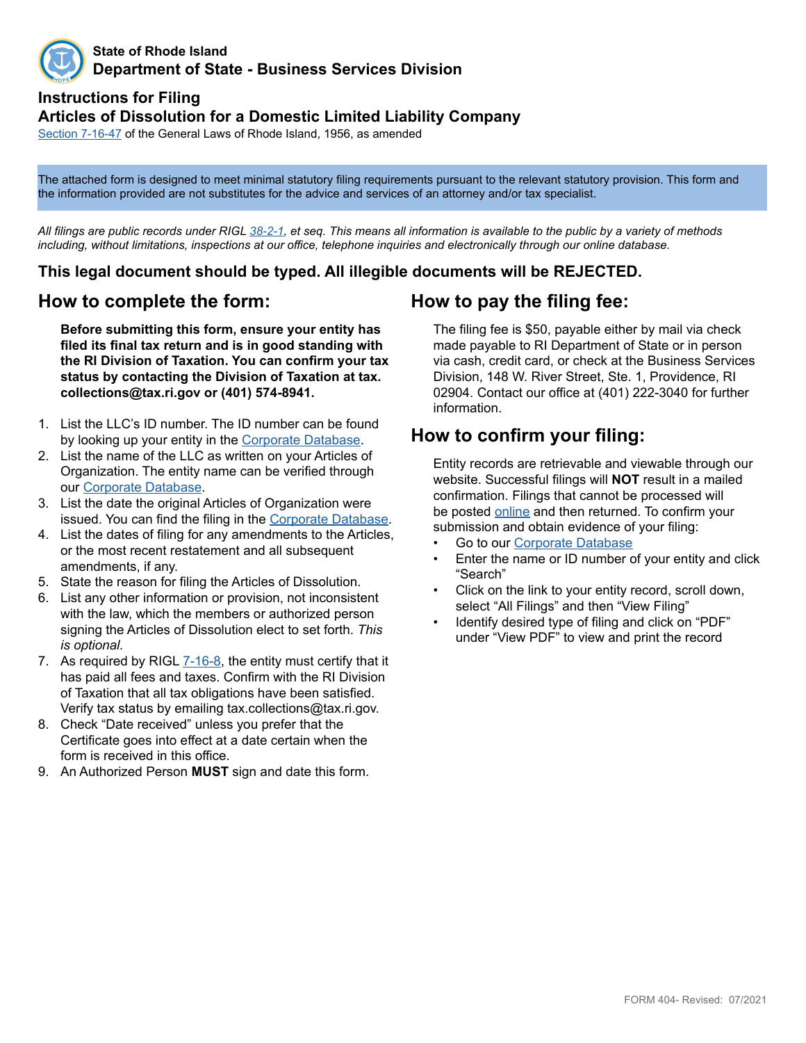

#### **State of Rhode Island Department of State - Business Services Division**

## **Instructions for Filing**

#### **Articles of Dissolution for a Domestic Limited Liability Company**

[Section 7-1](http://webserver.rilin.state.ri.us/Statutes/TITLE7/7-16/7-16-47.HTM)6-47 of the General Laws of Rhode Island, 1956, as amended

The attached form is designed to meet minimal statutory filing requirements pursuant to the relevant statutory provision. This form and the information provided are not substitutes for the advice and services of an attorney and/or tax specialist.

*All filings are public records under RIGL [38-2-1](http://webserver.rilin.state.ri.us/Statutes/TITLE38/38-2/38-2-1.HTM), et seq. This means all information is available to the public by a variety of methods including, without limitations, inspections at our office, telephone inquiries and electronically through our online database.*

#### **This legal document should be typed. All illegible documents will be REJECTED.**

#### **How to complete the form:**

**Before submitting this form, ensure your entity has filed its final tax return and is in good standing with the RI Division of Taxation. You can confirm your tax status by contacting the Division of Taxation at tax. collections@tax.ri.gov or (401) 574-8941.**

- 1. List the LLC's ID number. The ID number can be found by looking up your entity in the [Corporate Database.](http://business.sos.ri.gov/corpweb/corpsearch/corpsearch.aspx)
- 2. List the name of the LLC as written on your Articles of Organization. The entity name can be verified through our [Corporate Database](http://business.sos.ri.gov/corpweb/corpsearch/corpsearch.aspx).
- 3. List the date the original Articles of Organization were issued. You can find the filing in the [Corporate Database](http://business.sos.ri.gov/corpweb/corpsearch/corpsearch.aspx).
- 4. List the dates of filing for any amendments to the Articles, or the most recent restatement and all subsequent amendments, if any.
- 5. State the reason for filing the Articles of Dissolution.
- 6. List any other information or provision, not inconsistent with the law, which the members or authorized person signing the Articles of Dissolution elect to set forth. *This is optional.*
- 7. As required by [RIGL 7-1](http://webserver.rilin.state.ri.us/Statutes/TITLE7/7-16/7-16-8.HTM)6-8, the entity must certify that it has paid all fees and taxes. Confirm with the RI Division of Taxation that all tax obligations have been satisfied. Verify tax status by emailing tax.collections@tax.ri.gov.
- 8. Check "Date received" unless you prefer that the Certificate goes into effect at a date certain when the form is received in this office.
- 9. An Authorized Person **MUST** sign and date this form.

## **How to pay the filing fee:**

The filing fee is \$50, payable either by mail via check made payable to RI Department of State or in person via cash, credit card, or check at the Business Services Division, 148 W. River Street, Ste. 1, Providence, RI 02904. Contact our office at (401) 222-3040 for further information.

### **How to confirm your filing:**

Entity records are retrievable and viewable through our website. Successful filings will **NOT** result in a mailed confirmation. Filings that cannot be processed will be posted [online](http://business.sos.ri.gov/corpreject/corprejectionslist.asp) and then returned. To confirm your submission and obtain evidence of your filing:

- Go to our [Corporate Database](http://business.sos.ri.gov/corpweb/corpsearch/corpsearch.aspx)
- Enter the name or ID number of your entity and click "Search"
- Click on the link to your entity record, scroll down, select "All Filings" and then "View Filing"
- Identify desired type of filing and click on "PDF" under "View PDF" to view and print the record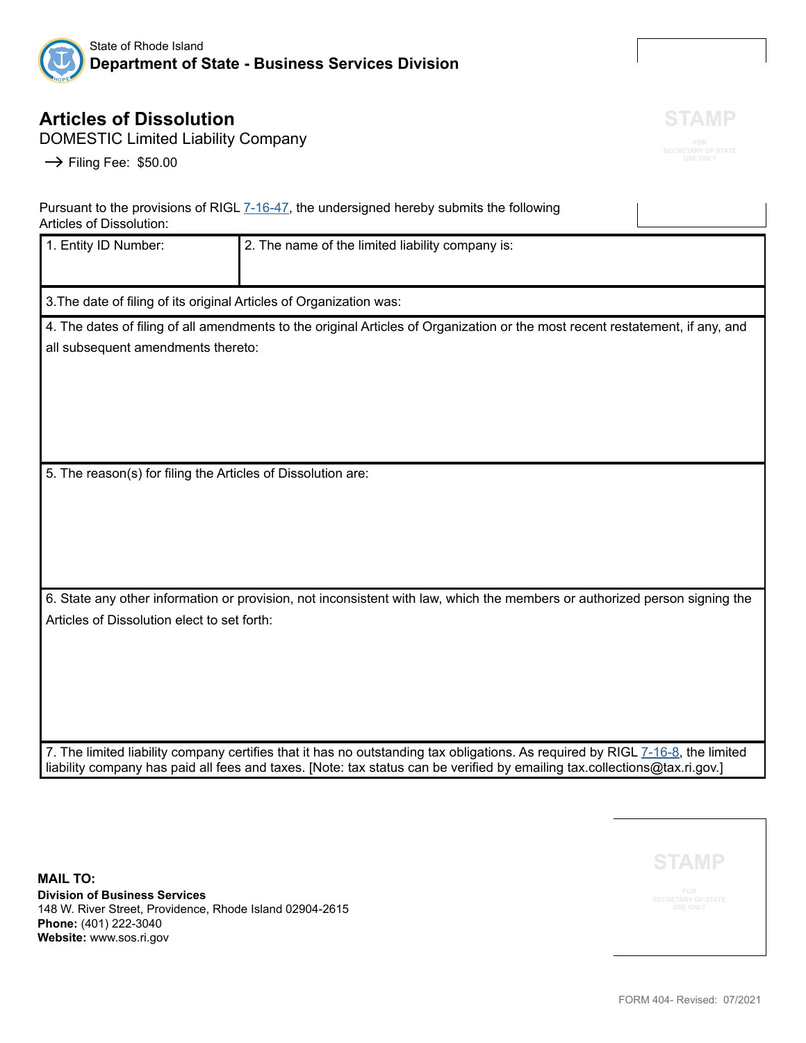

# **Articles of Dissolution**

DOMESTIC Limited Liability Company

 $\rightarrow$  Filing Fee: \$50.00

Pursuant to the provisions of RIGL [7-16-47](http://webserver.rilin.state.ri.us/Statutes/TITLE7/7-16/7-16-47.HTM), the undersigned hereby submits the following Articles of Dissolution:

| 1. Entity ID Number:                                                | 2. The name of the limited liability company is:                                                                                                                                                                                                            |  |  |
|---------------------------------------------------------------------|-------------------------------------------------------------------------------------------------------------------------------------------------------------------------------------------------------------------------------------------------------------|--|--|
| 3. The date of filing of its original Articles of Organization was: |                                                                                                                                                                                                                                                             |  |  |
| all subsequent amendments thereto:                                  | 4. The dates of filing of all amendments to the original Articles of Organization or the most recent restatement, if any, and                                                                                                                               |  |  |
| 5. The reason(s) for filing the Articles of Dissolution are:        |                                                                                                                                                                                                                                                             |  |  |
| Articles of Dissolution elect to set forth:                         | 6. State any other information or provision, not inconsistent with law, which the members or authorized person signing the                                                                                                                                  |  |  |
|                                                                     | 7. The limited liability company certifies that it has no outstanding tax obligations. As required by RIGL 7-16-8, the limited<br>liability company has paid all fees and taxes. [Note: tax status can be verified by emailing tax.collections@tax.ri.gov.] |  |  |

**MAIL TO: Division of Business Services** 148 W. River Street, Providence, Rhode Island 02904-2615 **Phone:** (401) 222-3040 **Website:** www.sos.ri.gov

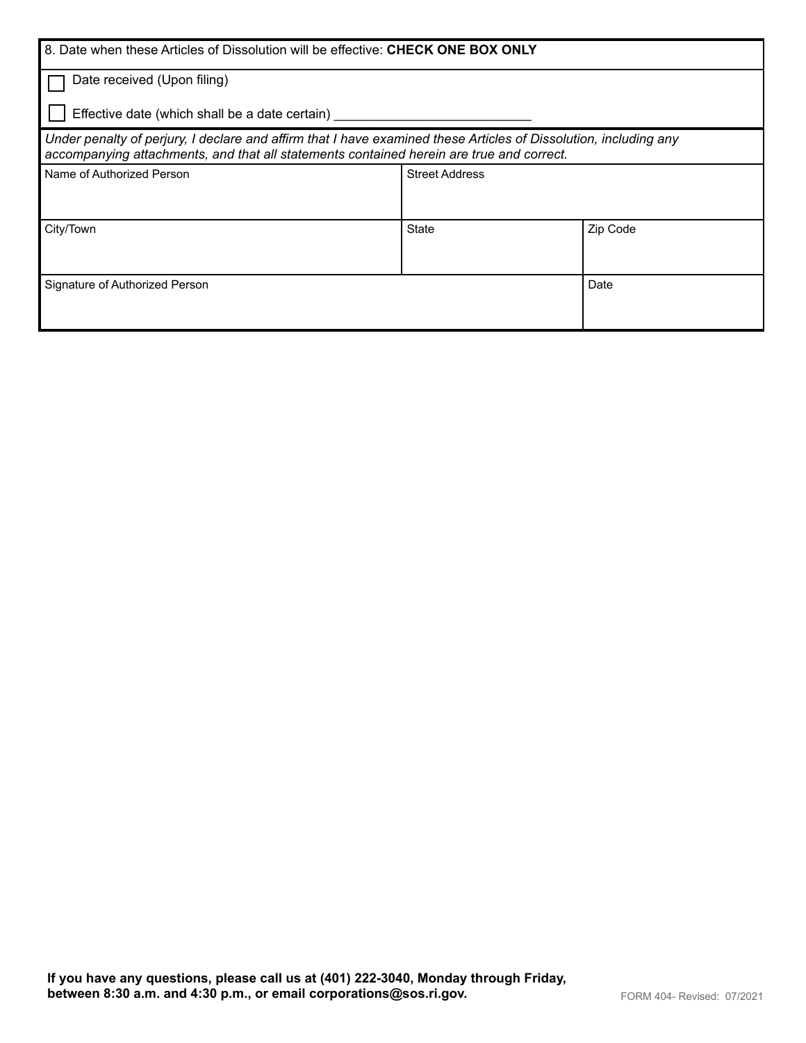| 8. Date when these Articles of Dissolution will be effective: CHECK ONE BOX ONLY                                                                                                                             |                       |          |  |  |
|--------------------------------------------------------------------------------------------------------------------------------------------------------------------------------------------------------------|-----------------------|----------|--|--|
| Date received (Upon filing)                                                                                                                                                                                  |                       |          |  |  |
| Effective date (which shall be a date certain)                                                                                                                                                               |                       |          |  |  |
| Under penalty of perjury, I declare and affirm that I have examined these Articles of Dissolution, including any<br>accompanying attachments, and that all statements contained herein are true and correct. |                       |          |  |  |
| Name of Authorized Person                                                                                                                                                                                    | <b>Street Address</b> |          |  |  |
|                                                                                                                                                                                                              |                       |          |  |  |
| City/Town                                                                                                                                                                                                    | State                 | Zip Code |  |  |
|                                                                                                                                                                                                              |                       |          |  |  |
| Signature of Authorized Person                                                                                                                                                                               | Date                  |          |  |  |
|                                                                                                                                                                                                              |                       |          |  |  |